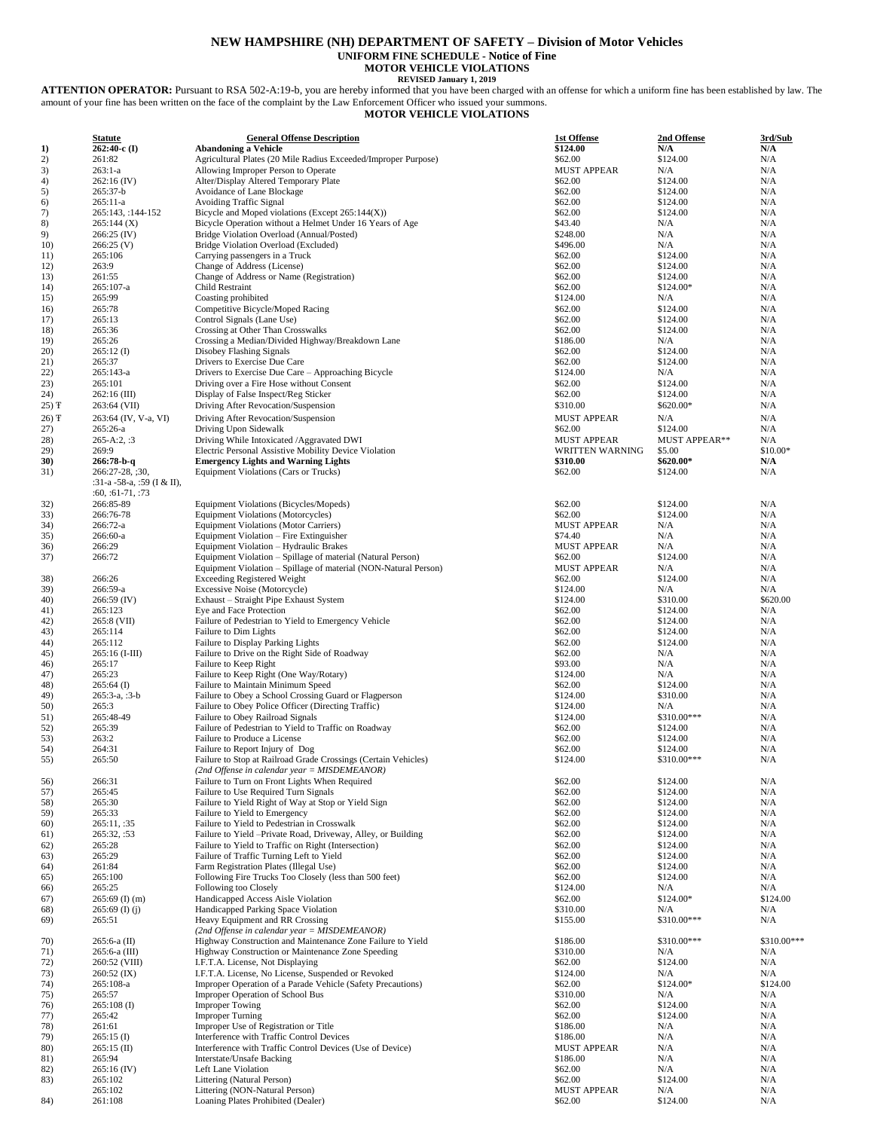## **NEW HAMPSHIRE (NH) DEPARTMENT OF SAFETY – Division of Motor Vehicles UNIFORM FINE SCHEDULE - Notice of Fine**

**MOTOR VEHICLE VIOLATIONS**

**REVISED January 1, 2019 ATTENTION OPERATOR:** Pursuant to RSA 502-A:19-b, you are hereby informed that you have been charged with an offense for which a uniform fine has been established by law. The amount of your fine has been written on the face of the complaint by the Law Enforcement Officer who issued your summons.

## **MOTOR VEHICLE VIOLATIONS**

|       | <b>Statute</b>             | <b>General Offense Description</b>                              | 1st Offense            | 2nd Offense          | 3rd/Sub     |
|-------|----------------------------|-----------------------------------------------------------------|------------------------|----------------------|-------------|
| 1)    | $262:40-c$ (I)             | <b>Abandoning a Vehicle</b>                                     | \$124.00               | N/A                  | N/A         |
| 2)    | 261:82                     | Agricultural Plates (20 Mile Radius Exceeded/Improper Purpose)  | \$62.00                | \$124.00             | N/A         |
| 3)    | $263:1-a$                  | Allowing Improper Person to Operate                             | <b>MUST APPEAR</b>     | N/A                  | N/A         |
| 4)    | $262:16$ (IV)              | Alter/Display Altered Temporary Plate                           | \$62.00                | \$124.00             | N/A         |
| 5)    | 265:37-b                   | Avoidance of Lane Blockage                                      | \$62.00                | \$124.00             | N/A         |
| 6)    | $265:11-a$                 | Avoiding Traffic Signal                                         | \$62.00                | \$124.00             | N/A         |
| 7)    | 265:143, :144-152          | Bicycle and Moped violations (Except 265:144(X))                | \$62.00                | \$124.00             | N/A         |
| 8)    | 265:144(X)                 | Bicycle Operation without a Helmet Under 16 Years of Age        | \$43.40                | N/A                  | N/A         |
| 9)    | $266:25$ (IV)              | Bridge Violation Overload (Annual/Posted)                       | \$248.00               | N/A                  | N/A         |
| 10)   | 266:25(V)                  | Bridge Violation Overload (Excluded)                            | \$496.00               | N/A                  | N/A         |
| 11)   | 265:106                    | Carrying passengers in a Truck                                  | \$62.00                | \$124.00             | N/A         |
| 12)   | 263:9                      | Change of Address (License)                                     | \$62.00                | \$124.00             | N/A         |
| 13)   | 261:55                     | Change of Address or Name (Registration)                        | \$62.00                | \$124.00             | N/A         |
| 14)   | 265:107-a                  | Child Restraint                                                 | \$62.00                | $$124.00*$           | N/A         |
| 15)   | 265:99                     | Coasting prohibited                                             | \$124.00               | N/A                  | N/A         |
| 16)   | 265:78                     | Competitive Bicycle/Moped Racing                                | \$62.00                | \$124.00             | N/A         |
| 17)   | 265:13                     | Control Signals (Lane Use)                                      | \$62.00                | \$124.00             | N/A         |
| 18)   | 265:36                     | Crossing at Other Than Crosswalks                               | \$62.00                | \$124.00             | N/A         |
| 19)   | 265:26                     | Crossing a Median/Divided Highway/Breakdown Lane                | \$186.00               | N/A                  | N/A         |
| 20)   | $265:12$ (I)               | Disobey Flashing Signals                                        | \$62.00                | \$124.00             | N/A         |
| 21)   | 265:37                     | Drivers to Exercise Due Care                                    | \$62.00                | \$124.00             | N/A         |
| (22)  | 265:143-a                  |                                                                 | \$124.00               | N/A                  | N/A         |
| 23)   |                            | Drivers to Exercise Due Care - Approaching Bicycle              |                        |                      | N/A         |
|       | 265:101                    | Driving over a Fire Hose without Consent                        | \$62.00                | \$124.00             |             |
| 24)   | $262:16$ (III)             | Display of False Inspect/Reg Sticker                            | \$62.00                | \$124.00             | N/A         |
| 25) Ŧ | 263:64 (VII)               | Driving After Revocation/Suspension                             | \$310.00               | \$620.00*            | N/A         |
| 26) Ŧ | 263:64 (IV, V-a, VI)       | Driving After Revocation/Suspension                             | <b>MUST APPEAR</b>     | N/A                  | N/A         |
| 27)   | $265:26-a$                 | Driving Upon Sidewalk                                           | \$62.00                | \$124.00             | N/A         |
| 28)   | $265 - A:2$ , :3           | Driving While Intoxicated /Aggravated DWI                       | <b>MUST APPEAR</b>     | <b>MUST APPEAR**</b> | N/A         |
| 29)   | 269:9                      | Electric Personal Assistive Mobility Device Violation           | <b>WRITTEN WARNING</b> | \$5.00               | \$10.00*    |
| 30)   | 266:78-b-q                 | <b>Emergency Lights and Warning Lights</b>                      | \$310.00               | $$620.00*$           | N/A         |
| 31)   | 266:27-28, ;30,            | Equipment Violations (Cars or Trucks)                           | \$62.00                | \$124.00             | N/A         |
|       | :31-a -58-a, :59 (I & II), |                                                                 |                        |                      |             |
|       | $:60, :61-71, :73$         |                                                                 |                        |                      |             |
| 32)   | 266:85-89                  | Equipment Violations (Bicycles/Mopeds)                          | \$62.00                | \$124.00             | N/A         |
| 33)   | 266:76-78                  | <b>Equipment Violations (Motorcycles)</b>                       | \$62.00                | \$124.00             | N/A         |
| 34)   | 266:72-a                   | <b>Equipment Violations (Motor Carriers)</b>                    | <b>MUST APPEAR</b>     | N/A                  | N/A         |
| 35)   | 266:60-a                   | Equipment Violation - Fire Extinguisher                         | \$74.40                | N/A                  | N/A         |
| 36)   | 266:29                     | Equipment Violation - Hydraulic Brakes                          | <b>MUST APPEAR</b>     | N/A                  | N/A         |
| 37)   | 266:72                     | Equipment Violation - Spillage of material (Natural Person)     | \$62.00                | \$124.00             | N/A         |
|       |                            | Equipment Violation - Spillage of material (NON-Natural Person) | <b>MUST APPEAR</b>     | N/A                  | N/A         |
| 38)   | 266:26                     | <b>Exceeding Registered Weight</b>                              | \$62.00                | \$124.00             | N/A         |
| 39)   | 266:59-a                   | Excessive Noise (Motorcycle)                                    | \$124.00               | N/A                  | N/A         |
| 40)   | $266:59$ (IV)              | Exhaust - Straight Pipe Exhaust System                          | \$124.00               | \$310.00             | \$620.00    |
| 41)   | 265:123                    | Eye and Face Protection                                         | \$62.00                | \$124.00             | N/A         |
| 42)   | 265:8 (VII)                | Failure of Pedestrian to Yield to Emergency Vehicle             | \$62.00                | \$124.00             | N/A         |
| 43)   | 265:114                    | Failure to Dim Lights                                           | \$62.00                | \$124.00             | N/A         |
| 44)   | 265:112                    | Failure to Display Parking Lights                               | \$62.00                | \$124.00             | N/A         |
|       | $265:16$ (I-III)           | Failure to Drive on the Right Side of Roadway                   | \$62.00                | N/A                  | N/A         |
| 45)   |                            |                                                                 |                        |                      |             |
| 46)   | 265:17                     | Failure to Keep Right                                           | \$93.00                | N/A<br>N/A           | N/A<br>N/A  |
| 47)   | 265:23                     | Failure to Keep Right (One Way/Rotary)                          | \$124.00               |                      |             |
| 48)   | $265:64$ (I)               | Failure to Maintain Minimum Speed                               | \$62.00                | \$124.00             | N/A<br>N/A  |
| 49)   | $265:3-a$ , $:3-b$         | Failure to Obey a School Crossing Guard or Flagperson           | \$124.00               | \$310.00             | N/A         |
| 50)   | 265:3                      | Failure to Obey Police Officer (Directing Traffic)              | \$124.00               | N/A<br>\$310.00***   |             |
| 51)   | 265:48-49                  | Failure to Obey Railroad Signals                                | \$124.00               |                      | N/A         |
| 52)   | 265:39                     | Failure of Pedestrian to Yield to Traffic on Roadway            | \$62.00                | \$124.00             | N/A         |
| 53)   | 263:2                      | Failure to Produce a License                                    | \$62.00                | \$124.00             | N/A         |
| 54)   | 264:31                     | Failure to Report Injury of Dog                                 | \$62.00                | \$124.00             | N/A         |
| 55)   | 265:50                     | Failure to Stop at Railroad Grade Crossings (Certain Vehicles)  | \$124.00               | \$310.00***          | N/A         |
|       |                            | (2nd Offense in calendar year = MISDEMEANOR)                    |                        |                      |             |
| 56)   | 266:31                     | Failure to Turn on Front Lights When Required                   | \$62.00                | \$124.00             | N/A         |
| 57)   | 265:45                     | Failure to Use Required Turn Signals                            | \$62.00                | \$124.00             | N/A         |
| 58)   | 265:30                     | Failure to Yield Right of Way at Stop or Yield Sign             | \$62.00                | \$124.00             | N/A         |
| 59)   | 265:33                     | Failure to Yield to Emergency                                   | \$62.00                | \$124.00             | N/A         |
| 60)   | 265:11, :35                | Failure to Yield to Pedestrian in Crosswalk                     | \$62.00                | \$124.00             | N/A         |
| 61)   | 265:32, :53                | Failure to Yield -Private Road, Driveway, Alley, or Building    | \$62.00                | \$124.00             | N/A         |
| 62)   | 265:28                     | Failure to Yield to Traffic on Right (Intersection)             | \$62.00                | \$124.00             | N/A         |
| 63)   | 265:29                     | Failure of Traffic Turning Left to Yield                        | \$62.00                | \$124.00             | N/A         |
| 64)   | 261:84                     | Farm Registration Plates (Illegal Use)                          | \$62.00                | \$124.00             | N/A         |
| 65)   | 265:100                    | Following Fire Trucks Too Closely (less than 500 feet)          | \$62.00                | \$124.00             | N/A         |
| 66)   | 265:25                     | Following too Closely                                           | \$124.00               | N/A                  | N/A         |
| 67)   | $265:69$ (I) (m)           | Handicapped Access Aisle Violation                              | \$62.00                | \$124.00*            | \$124.00    |
| 68)   | $265:69$ (I) (j)           | Handicapped Parking Space Violation                             | \$310.00               | N/A                  | N/A         |
| 69)   | 265:51                     | Heavy Equipment and RR Crossing                                 | \$155.00               | \$310.00***          | N/A         |
|       |                            | (2nd Offense in calendar year = MISDEMEANOR)                    |                        |                      |             |
| 70)   | $265:6-a$ (II)             | Highway Construction and Maintenance Zone Failure to Yield      | \$186.00               | \$310.00***          | \$310.00*** |
| 71)   | 265:6-a (III)              | Highway Construction or Maintenance Zone Speeding               | \$310.00               | N/A                  | N/A         |
| 72)   | 260:52 (VIII)              | I.F.T.A. License, Not Displaying                                | \$62.00                | \$124.00             | N/A         |
| 73)   | $260:52$ (IX)              | I.F.T.A. License, No License, Suspended or Revoked              | \$124.00               | N/A                  | N/A         |
| 74)   | 265:108-a                  | Improper Operation of a Parade Vehicle (Safety Precautions)     | \$62.00                | $$124.00*$           | \$124.00    |
| 75)   | 265:57                     | Improper Operation of School Bus                                | \$310.00               | N/A                  | N/A         |
| 76)   | $265:108$ (I)              | <b>Improper Towing</b>                                          | \$62.00                | \$124.00             | N/A         |
| 77)   | 265:42                     | <b>Improper Turning</b>                                         | \$62.00                | \$124.00             | N/A         |
| 78)   | 261:61                     | Improper Use of Registration or Title                           | \$186.00               | N/A                  | N/A         |
| 79)   | $265:15$ (I)               | Interference with Traffic Control Devices                       | \$186.00               | N/A                  | N/A         |
| 80)   | $265:15$ (II)              | Interference with Traffic Control Devices (Use of Device)       | <b>MUST APPEAR</b>     | N/A                  | N/A         |
| 81)   | 265:94                     | Interstate/Unsafe Backing                                       | \$186.00               | N/A                  | N/A         |
| 82)   | $265:16$ (IV)              | Left Lane Violation                                             | \$62.00                | N/A                  | N/A         |
| 83)   | 265:102                    | Littering (Natural Person)                                      | \$62.00                | \$124.00             | N/A         |
|       | 265:102                    | Littering (NON-Natural Person)                                  | <b>MUST APPEAR</b>     | N/A                  | N/A         |
| 84)   | 261:108                    | Loaning Plates Prohibited (Dealer)                              | \$62.00                | \$124.00             | N/A         |
|       |                            |                                                                 |                        |                      |             |